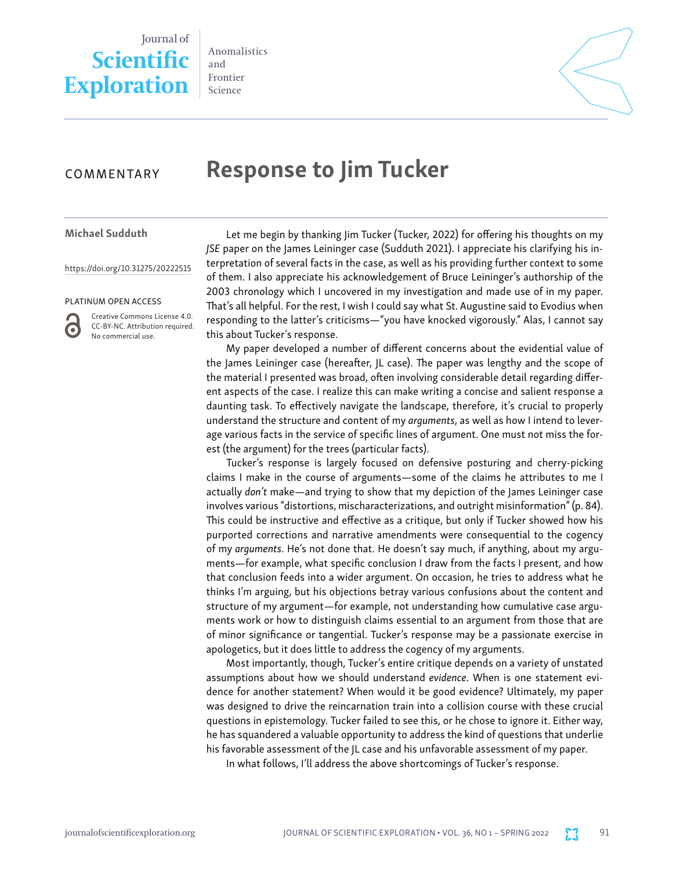## Journal of **Scientific Exploration**

Anomalistics and Frontier Science



## COMMENTARY

# Response to Jim Tucker

#### Michael Sudduth

[https://doi.org/10.31275/20222515](https://doi.org/10.31275/20201971)

#### PLATINUM OPEN ACCESS



Creative Commons License 4.0. CC-BY-NC. Attribution required. No commercial use.

Let me begin by thanking Jim Tucker (Tucker, 2022) for offering his thoughts on my *JSE* paper on the James Leininger case (Sudduth 2021). I appreciate his clarifying his interpretation of several facts in the case, as well as his providing further context to some of them. I also appreciate his acknowledgement of Bruce Leininger's authorship of the 2003 chronology which I uncovered in my investigation and made use of in my paper. That's all helpful. For the rest, I wish I could say what St. Augustine said to Evodius when responding to the latter's criticisms—"you have knocked vigorously." Alas, I cannot say this about Tucker's response.

My paper developed a number of different concerns about the evidential value of the James Leininger case (hereafter, JL case). The paper was lengthy and the scope of the material I presented was broad, often involving considerable detail regarding different aspects of the case. I realize this can make writing a concise and salient response a daunting task. To effectively navigate the landscape, therefore, it's crucial to properly understand the structure and content of my *arguments*, as well as how I intend to leverage various facts in the service of specific lines of argument. One must not miss the forest (the argument) for the trees (particular facts).

Tucker's response is largely focused on defensive posturing and cherry-picking claims I make in the course of arguments—some of the claims he attributes to me I actually *don't* make—and trying to show that my depiction of the James Leininger case involves various "distortions, mischaracterizations, and outright misinformation" (p. 84). This could be instructive and effective as a critique, but only if Tucker showed how his purported corrections and narrative amendments were consequential to the cogency of my *arguments*. He's not done that. He doesn't say much, if anything, about my arguments—for example, what specific conclusion I draw from the facts I present, and how that conclusion feeds into a wider argument. On occasion, he tries to address what he thinks I'm arguing, but his objections betray various confusions about the content and structure of my argument—for example, not understanding how cumulative case arguments work or how to distinguish claims essential to an argument from those that are of minor significance or tangential. Tucker's response may be a passionate exercise in apologetics, but it does little to address the cogency of my arguments.

Most importantly, though, Tucker's entire critique depends on a variety of unstated assumptions about how we should understand *evidence*. When is one statement evidence for another statement? When would it be good evidence? Ultimately, my paper was designed to drive the reincarnation train into a collision course with these crucial questions in epistemology. Tucker failed to see this, or he chose to ignore it. Either way, he has squandered a valuable opportunity to address the kind of questions that underlie his favorable assessment of the JL case and his unfavorable assessment of my paper.

In what follows, I'll address the above shortcomings of Tucker's response.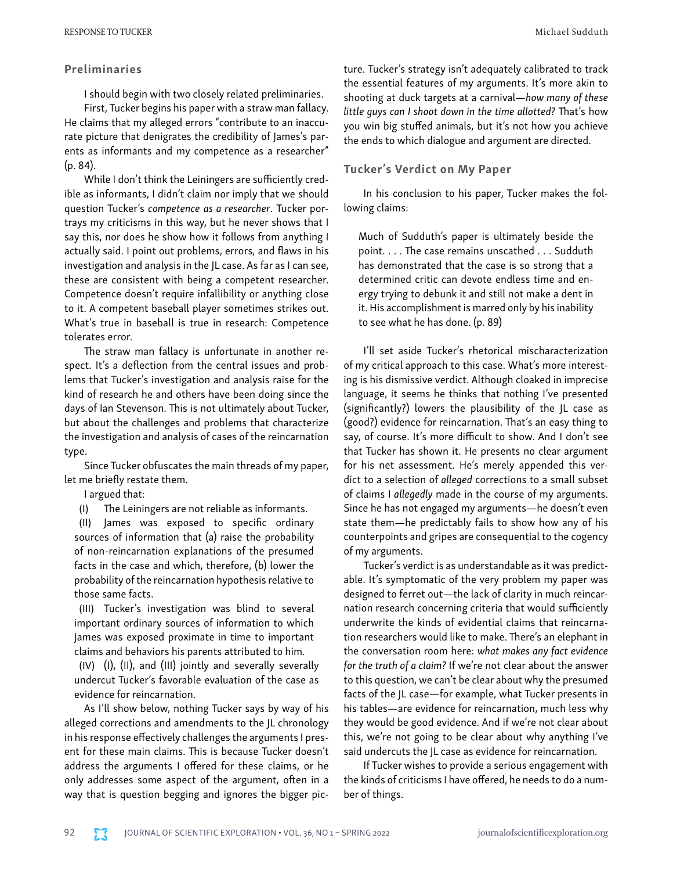## Preliminaries

I should begin with two closely related preliminaries.

First, Tucker begins his paper with a straw man fallacy. He claims that my alleged errors "contribute to an inaccurate picture that denigrates the credibility of James's parents as informants and my competence as a researcher" (p. 84).

While I don't think the Leiningers are sufficiently credible as informants, I didn't claim nor imply that we should question Tucker's *competence as a researcher*. Tucker portrays my criticisms in this way, but he never shows that I say this, nor does he show how it follows from anything I actually said. I point out problems, errors, and flaws in his investigation and analysis in the JL case. As far as I can see, these are consistent with being a competent researcher. Competence doesn't require infallibility or anything close to it. A competent baseball player sometimes strikes out. What's true in baseball is true in research: Competence tolerates error.

The straw man fallacy is unfortunate in another respect. It's a deflection from the central issues and problems that Tucker's investigation and analysis raise for the kind of research he and others have been doing since the days of Ian Stevenson. This is not ultimately about Tucker, but about the challenges and problems that characterize the investigation and analysis of cases of the reincarnation type.

Since Tucker obfuscates the main threads of my paper, let me briefly restate them.

I argued that:

(I) The Leiningers are not reliable as informants.

(II) James was exposed to specific ordinary sources of information that (a) raise the probability of non-reincarnation explanations of the presumed facts in the case and which, therefore, (b) lower the probability of the reincarnation hypothesis relative to those same facts.

(III) Tucker's investigation was blind to several important ordinary sources of information to which James was exposed proximate in time to important claims and behaviors his parents attributed to him.

(IV) (I), (II), and (III) jointly and severally severally undercut Tucker's favorable evaluation of the case as evidence for reincarnation.

As I'll show below, nothing Tucker says by way of his alleged corrections and amendments to the JL chronology in his response effectively challenges the arguments I present for these main claims. This is because Tucker doesn't address the arguments I offered for these claims, or he only addresses some aspect of the argument, often in a way that is question begging and ignores the bigger picture. Tucker's strategy isn't adequately calibrated to track the essential features of my arguments. It's more akin to shooting at duck targets at a carnival—*how many of these little guys can I shoot down in the time allotted?* That's how you win big stuffed animals, but it's not how you achieve the ends to which dialogue and argument are directed.

### Tucker's Verdict on My Paper

In his conclusion to his paper, Tucker makes the following claims:

Much of Sudduth's paper is ultimately beside the point. . . . The case remains unscathed . . . Sudduth has demonstrated that the case is so strong that a determined critic can devote endless time and energy trying to debunk it and still not make a dent in it. His accomplishment is marred only by his inability to see what he has done. (p. 89)

I'll set aside Tucker's rhetorical mischaracterization of my critical approach to this case. What's more interesting is his dismissive verdict. Although cloaked in imprecise language, it seems he thinks that nothing I've presented (significantly?) lowers the plausibility of the JL case as (good?) evidence for reincarnation. That's an easy thing to say, of course. It's more difficult to show. And I don't see that Tucker has shown it. He presents no clear argument for his net assessment. He's merely appended this verdict to a selection of *alleged* corrections to a small subset of claims I *allegedly* made in the course of my arguments. Since he has not engaged my arguments—he doesn't even state them—he predictably fails to show how any of his counterpoints and gripes are consequential to the cogency of my arguments.

Tucker's verdict is as understandable as it was predictable. It's symptomatic of the very problem my paper was designed to ferret out—the lack of clarity in much reincarnation research concerning criteria that would sufficiently underwrite the kinds of evidential claims that reincarnation researchers would like to make. There's an elephant in the conversation room here: *what makes any fact evidence for the truth of a claim?* If we're not clear about the answer to this question, we can't be clear about why the presumed facts of the JL case—for example, what Tucker presents in his tables—are evidence for reincarnation, much less why they would be good evidence. And if we're not clear about this, we're not going to be clear about why anything I've said undercuts the JL case as evidence for reincarnation.

If Tucker wishes to provide a serious engagement with the kinds of criticisms I have offered, he needs to do a number of things.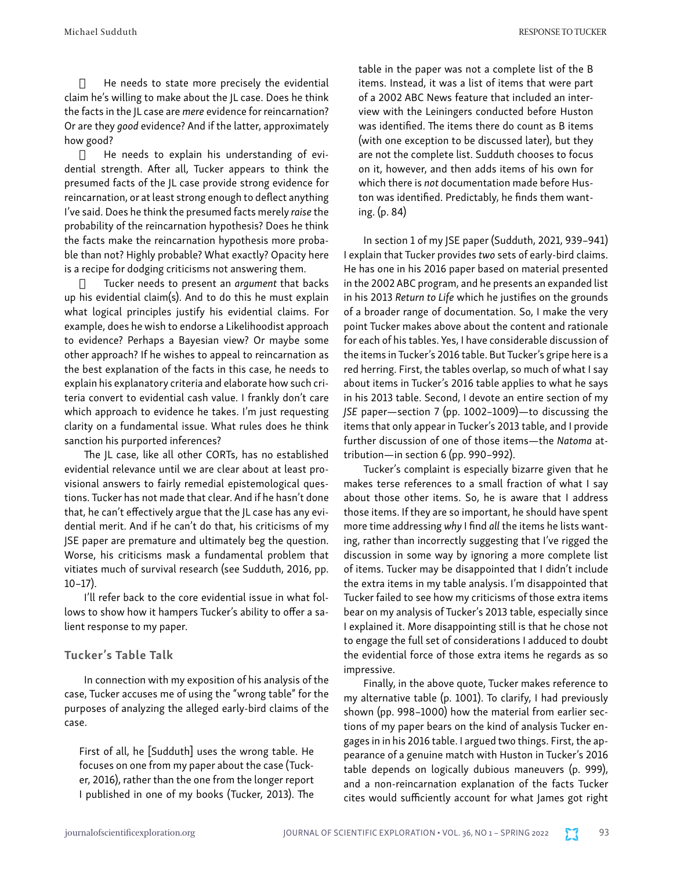$\Box$  He needs to state more precisely the evidential claim he's willing to make about the JL case. Does he think the facts in the JL case are *mere* evidence for reincarnation? Or are they *good* evidence? And if the latter, approximately how good?

 $\Box$  He needs to explain his understanding of evidential strength. After all, Tucker appears to think the presumed facts of the JL case provide strong evidence for reincarnation, or at least strong enough to deflect anything I've said. Does he think the presumed facts merely *raise* the probability of the reincarnation hypothesis? Does he think the facts make the reincarnation hypothesis more probable than not? Highly probable? What exactly? Opacity here is a recipe for dodging criticisms not answering them.

· Tucker needs to present an *argument* that backs up his evidential claim(s). And to do this he must explain what logical principles justify his evidential claims. For example, does he wish to endorse a Likelihoodist approach to evidence? Perhaps a Bayesian view? Or maybe some other approach? If he wishes to appeal to reincarnation as the best explanation of the facts in this case, he needs to explain his explanatory criteria and elaborate how such criteria convert to evidential cash value. I frankly don't care which approach to evidence he takes. I'm just requesting clarity on a fundamental issue. What rules does he think sanction his purported inferences?

The JL case, like all other CORTs, has no established evidential relevance until we are clear about at least provisional answers to fairly remedial epistemological questions. Tucker has not made that clear. And if he hasn't done that, he can't effectively argue that the JL case has any evidential merit. And if he can't do that, his criticisms of my JSE paper are premature and ultimately beg the question. Worse, his criticisms mask a fundamental problem that vitiates much of survival research (see Sudduth, 2016, pp. 10–17).

I'll refer back to the core evidential issue in what follows to show how it hampers Tucker's ability to offer a salient response to my paper.

## Tucker's Table Talk

In connection with my exposition of his analysis of the case, Tucker accuses me of using the "wrong table" for the purposes of analyzing the alleged early-bird claims of the case.

First of all, he [Sudduth] uses the wrong table. He focuses on one from my paper about the case (Tucker, 2016), rather than the one from the longer report I published in one of my books (Tucker, 2013). The table in the paper was not a complete list of the B items. Instead, it was a list of items that were part of a 2002 ABC News feature that included an interview with the Leiningers conducted before Huston was identified. The items there do count as B items (with one exception to be discussed later), but they are not the complete list. Sudduth chooses to focus on it, however, and then adds items of his own for which there is *not* documentation made before Huston was identified. Predictably, he finds them wanting. (p. 84)

In section 1 of my JSE paper (Sudduth, 2021, 939–941) I explain that Tucker provides *two* sets of early-bird claims. He has one in his 2016 paper based on material presented in the 2002 ABC program, and he presents an expanded list in his 2013 *Return to Life* which he justifies on the grounds of a broader range of documentation. So, I make the very point Tucker makes above about the content and rationale for each of his tables. Yes, I have considerable discussion of the items in Tucker's 2016 table. But Tucker's gripe here is a red herring. First, the tables overlap, so much of what I say about items in Tucker's 2016 table applies to what he says in his 2013 table. Second, I devote an entire section of my *JSE* paper—section 7 (pp. 1002–1009)—to discussing the items that only appear in Tucker's 2013 table, and I provide further discussion of one of those items—the *Natoma* attribution—in section 6 (pp. 990–992).

Tucker's complaint is especially bizarre given that he makes terse references to a small fraction of what I say about those other items. So, he is aware that I address those items. If they are so important, he should have spent more time addressing *why* I find *all* the items he lists wanting, rather than incorrectly suggesting that I've rigged the discussion in some way by ignoring a more complete list of items. Tucker may be disappointed that I didn't include the extra items in my table analysis. I'm disappointed that Tucker failed to see how my criticisms of those extra items bear on my analysis of Tucker's 2013 table, especially since I explained it. More disappointing still is that he chose not to engage the full set of considerations I adduced to doubt the evidential force of those extra items he regards as so impressive.

Finally, in the above quote, Tucker makes reference to my alternative table (p. 1001). To clarify, I had previously shown (pp. 998–1000) how the material from earlier sections of my paper bears on the kind of analysis Tucker engages in in his 2016 table. I argued two things. First, the appearance of a genuine match with Huston in Tucker's 2016 table depends on logically dubious maneuvers (p. 999), and a non-reincarnation explanation of the facts Tucker cites would sufficiently account for what James got right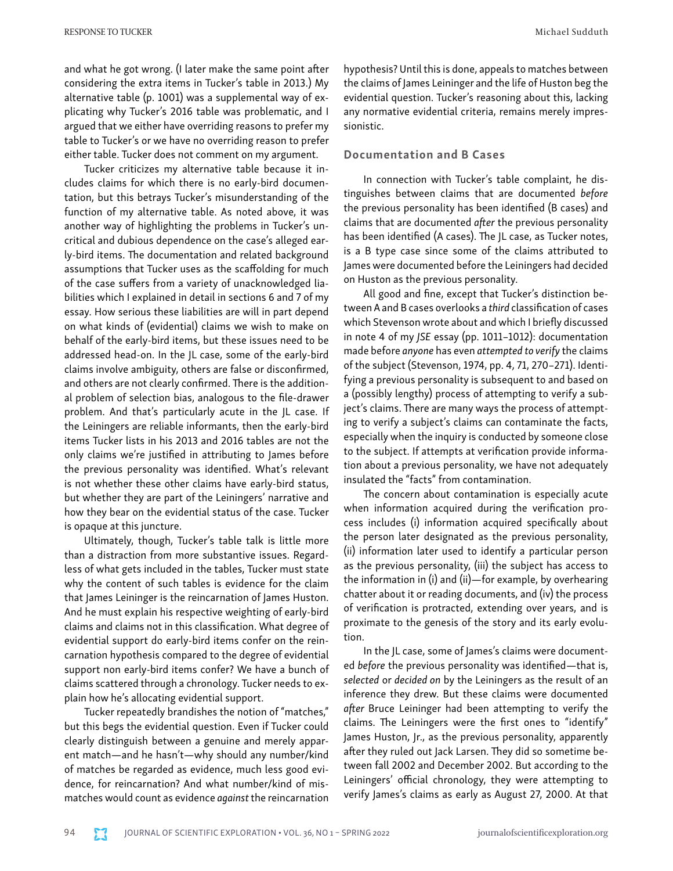and what he got wrong. (I later make the same point after considering the extra items in Tucker's table in 2013.) My alternative table (p. 1001) was a supplemental way of explicating why Tucker's 2016 table was problematic, and I argued that we either have overriding reasons to prefer my table to Tucker's or we have no overriding reason to prefer either table. Tucker does not comment on my argument.

Tucker criticizes my alternative table because it includes claims for which there is no early-bird documentation, but this betrays Tucker's misunderstanding of the function of my alternative table. As noted above, it was another way of highlighting the problems in Tucker's uncritical and dubious dependence on the case's alleged early-bird items. The documentation and related background assumptions that Tucker uses as the scaffolding for much of the case suffers from a variety of unacknowledged liabilities which I explained in detail in sections 6 and 7 of my essay. How serious these liabilities are will in part depend on what kinds of (evidential) claims we wish to make on behalf of the early-bird items, but these issues need to be addressed head-on. In the JL case, some of the early-bird claims involve ambiguity, others are false or disconfirmed, and others are not clearly confirmed. There is the additional problem of selection bias, analogous to the file-drawer problem. And that's particularly acute in the JL case. If the Leiningers are reliable informants, then the early-bird items Tucker lists in his 2013 and 2016 tables are not the only claims we're justified in attributing to James before the previous personality was identified. What's relevant is not whether these other claims have early-bird status, but whether they are part of the Leiningers' narrative and how they bear on the evidential status of the case. Tucker is opaque at this juncture.

Ultimately, though, Tucker's table talk is little more than a distraction from more substantive issues. Regardless of what gets included in the tables, Tucker must state why the content of such tables is evidence for the claim that James Leininger is the reincarnation of James Huston. And he must explain his respective weighting of early-bird claims and claims not in this classification. What degree of evidential support do early-bird items confer on the reincarnation hypothesis compared to the degree of evidential support non early-bird items confer? We have a bunch of claims scattered through a chronology. Tucker needs to explain how he's allocating evidential support.

Tucker repeatedly brandishes the notion of "matches," but this begs the evidential question. Even if Tucker could clearly distinguish between a genuine and merely apparent match—and he hasn't—why should any number/kind of matches be regarded as evidence, much less good evidence, for reincarnation? And what number/kind of mismatches would count as evidence *against* the reincarnation

hypothesis? Until this is done, appeals to matches between the claims of James Leininger and the life of Huston beg the evidential question. Tucker's reasoning about this, lacking any normative evidential criteria, remains merely impressionistic.

## Documentation and B Cases

In connection with Tucker's table complaint, he distinguishes between claims that are documented *before* the previous personality has been identified (B cases) and claims that are documented *after* the previous personality has been identified (A cases). The JL case, as Tucker notes, is a B type case since some of the claims attributed to James were documented before the Leiningers had decided on Huston as the previous personality.

All good and fine, except that Tucker's distinction between A and B cases overlooks a *third* classification of cases which Stevenson wrote about and which I briefly discussed in note 4 of my *JSE* essay (pp. 1011–1012): documentation made before *anyone* has even *attempted to verify* the claims of the subject (Stevenson, 1974, pp. 4, 71, 270–271). Identifying a previous personality is subsequent to and based on a (possibly lengthy) process of attempting to verify a subject's claims. There are many ways the process of attempting to verify a subject's claims can contaminate the facts, especially when the inquiry is conducted by someone close to the subject. If attempts at verification provide information about a previous personality, we have not adequately insulated the "facts" from contamination.

The concern about contamination is especially acute when information acquired during the verification process includes (i) information acquired specifically about the person later designated as the previous personality, (ii) information later used to identify a particular person as the previous personality, (iii) the subject has access to the information in (i) and (ii)—for example, by overhearing chatter about it or reading documents, and (iv) the process of verification is protracted, extending over years, and is proximate to the genesis of the story and its early evolution.

In the JL case, some of James's claims were documented *before* the previous personality was identified—that is, *selected* or *decided on* by the Leiningers as the result of an inference they drew. But these claims were documented *after* Bruce Leininger had been attempting to verify the claims. The Leiningers were the first ones to "identify" James Huston, Jr., as the previous personality, apparently after they ruled out Jack Larsen. They did so sometime between fall 2002 and December 2002. But according to the Leiningers' official chronology, they were attempting to verify James's claims as early as August 27, 2000. At that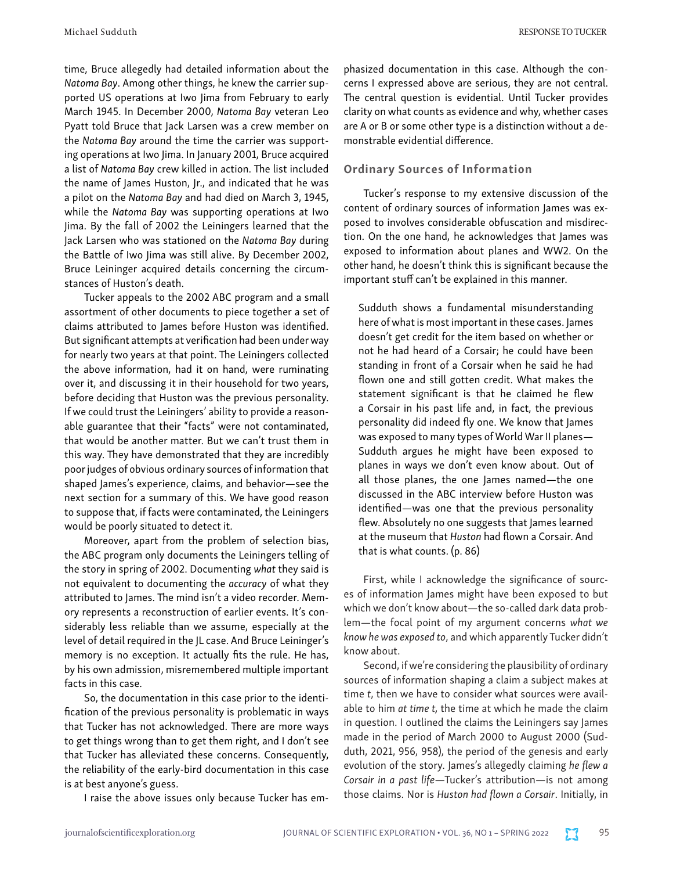time, Bruce allegedly had detailed information about the *Natoma Bay*. Among other things, he knew the carrier supported US operations at Iwo Jima from February to early March 1945. In December 2000, *Natoma Bay* veteran Leo Pyatt told Bruce that Jack Larsen was a crew member on the *Natoma Bay* around the time the carrier was supporting operations at Iwo Jima. In January 2001, Bruce acquired a list of *Natoma Bay* crew killed in action. The list included the name of James Huston, Jr., and indicated that he was a pilot on the *Natoma Bay* and had died on March 3, 1945, while the *Natoma Bay* was supporting operations at Iwo Jima. By the fall of 2002 the Leiningers learned that the Jack Larsen who was stationed on the *Natoma Bay* during the Battle of Iwo Jima was still alive. By December 2002, Bruce Leininger acquired details concerning the circumstances of Huston's death.

Tucker appeals to the 2002 ABC program and a small assortment of other documents to piece together a set of claims attributed to James before Huston was identified. But significant attempts at verification had been under way for nearly two years at that point. The Leiningers collected the above information, had it on hand, were ruminating over it, and discussing it in their household for two years, before deciding that Huston was the previous personality. If we could trust the Leiningers' ability to provide a reasonable guarantee that their "facts" were not contaminated, that would be another matter. But we can't trust them in this way. They have demonstrated that they are incredibly poor judges of obvious ordinary sources of information that shaped James's experience, claims, and behavior—see the next section for a summary of this. We have good reason to suppose that, if facts were contaminated, the Leiningers would be poorly situated to detect it.

Moreover, apart from the problem of selection bias, the ABC program only documents the Leiningers telling of the story in spring of 2002. Documenting *what* they said is not equivalent to documenting the *accuracy* of what they attributed to James. The mind isn't a video recorder. Memory represents a reconstruction of earlier events. It's considerably less reliable than we assume, especially at the level of detail required in the JL case. And Bruce Leininger's memory is no exception. It actually fits the rule. He has, by his own admission, misremembered multiple important facts in this case.

So, the documentation in this case prior to the identification of the previous personality is problematic in ways that Tucker has not acknowledged. There are more ways to get things wrong than to get them right, and I don't see that Tucker has alleviated these concerns. Consequently, the reliability of the early-bird documentation in this case is at best anyone's guess.

I raise the above issues only because Tucker has em-

phasized documentation in this case. Although the concerns I expressed above are serious, they are not central. The central question is evidential. Until Tucker provides clarity on what counts as evidence and why, whether cases are A or B or some other type is a distinction without a demonstrable evidential difference.

## Ordinary Sources of Information

Tucker's response to my extensive discussion of the content of ordinary sources of information James was exposed to involves considerable obfuscation and misdirection. On the one hand, he acknowledges that James was exposed to information about planes and WW2. On the other hand, he doesn't think this is significant because the important stuff can't be explained in this manner.

Sudduth shows a fundamental misunderstanding here of what is most important in these cases. James doesn't get credit for the item based on whether or not he had heard of a Corsair; he could have been standing in front of a Corsair when he said he had flown one and still gotten credit. What makes the statement significant is that he claimed he flew a Corsair in his past life and, in fact, the previous personality did indeed fly one. We know that James was exposed to many types of World War II planes— Sudduth argues he might have been exposed to planes in ways we don't even know about. Out of all those planes, the one James named—the one discussed in the ABC interview before Huston was identified—was one that the previous personality flew. Absolutely no one suggests that James learned at the museum that *Huston* had flown a Corsair. And that is what counts. (p. 86)

First, while I acknowledge the significance of sources of information James might have been exposed to but which we don't know about—the so-called dark data problem—the focal point of my argument concerns *what we know he was exposed to*, and which apparently Tucker didn't know about.

Second, if we're considering the plausibility of ordinary sources of information shaping a claim a subject makes at time *t*, then we have to consider what sources were available to him *at time t,* the time at which he made the claim in question. I outlined the claims the Leiningers say James made in the period of March 2000 to August 2000 (Sudduth, 2021, 956, 958), the period of the genesis and early evolution of the story. James's allegedly claiming *he flew a Corsair in a past life*—Tucker's attribution—is not among those claims. Nor is *Huston had flown a Corsair*. Initially, in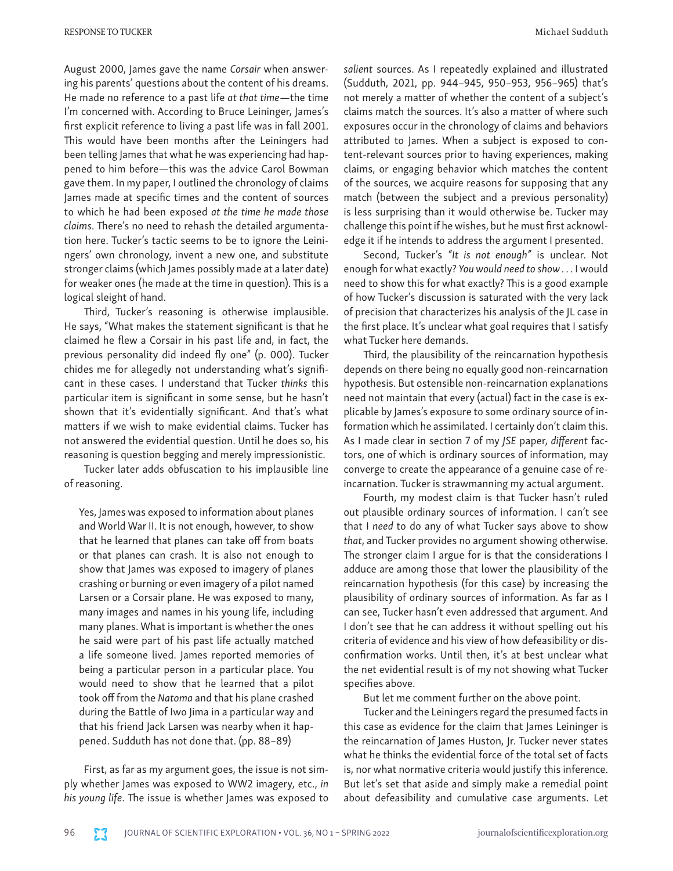August 2000, James gave the name *Corsair* when answering his parents' questions about the content of his dreams. He made no reference to a past life *at that time*—the time I'm concerned with. According to Bruce Leininger, James's first explicit reference to living a past life was in fall 2001. This would have been months after the Leiningers had been telling James that what he was experiencing had happened to him before—this was the advice Carol Bowman gave them. In my paper, I outlined the chronology of claims James made at specific times and the content of sources to which he had been exposed *at the time he made those claims*. There's no need to rehash the detailed argumentation here. Tucker's tactic seems to be to ignore the Leiningers' own chronology, invent a new one, and substitute stronger claims (which James possibly made at a later date) for weaker ones (he made at the time in question). This is a logical sleight of hand.

Third, Tucker's reasoning is otherwise implausible. He says, "What makes the statement significant is that he claimed he flew a Corsair in his past life and, in fact, the previous personality did indeed fly one" (p. 000). Tucker chides me for allegedly not understanding what's significant in these cases. I understand that Tucker *thinks* this particular item is significant in some sense, but he hasn't shown that it's evidentially significant. And that's what matters if we wish to make evidential claims. Tucker has not answered the evidential question. Until he does so, his reasoning is question begging and merely impressionistic.

Tucker later adds obfuscation to his implausible line of reasoning.

Yes, James was exposed to information about planes and World War II. It is not enough, however, to show that he learned that planes can take off from boats or that planes can crash. It is also not enough to show that James was exposed to imagery of planes crashing or burning or even imagery of a pilot named Larsen or a Corsair plane. He was exposed to many, many images and names in his young life, including many planes. What is important is whether the ones he said were part of his past life actually matched a life someone lived. James reported memories of being a particular person in a particular place. You would need to show that he learned that a pilot took off from the *Natoma* and that his plane crashed during the Battle of Iwo Jima in a particular way and that his friend Jack Larsen was nearby when it happened. Sudduth has not done that. (pp. 88–89)

First, as far as my argument goes, the issue is not simply whether James was exposed to WW2 imagery, etc., *in his young life*. The issue is whether James was exposed to

*salient* sources. As I repeatedly explained and illustrated (Sudduth, 2021, pp. 944–945, 950–953, 956–965) that's not merely a matter of whether the content of a subject's claims match the sources. It's also a matter of where such exposures occur in the chronology of claims and behaviors attributed to James. When a subject is exposed to content-relevant sources prior to having experiences, making claims, or engaging behavior which matches the content of the sources, we acquire reasons for supposing that any match (between the subject and a previous personality) is less surprising than it would otherwise be. Tucker may challenge this point if he wishes, but he must first acknowledge it if he intends to address the argument I presented.

Second, Tucker's *"It is not enough"* is unclear. Not enough for what exactly? *You would need to show . . .* I would need to show this for what exactly? This is a good example of how Tucker's discussion is saturated with the very lack of precision that characterizes his analysis of the JL case in the first place. It's unclear what goal requires that I satisfy what Tucker here demands.

Third, the plausibility of the reincarnation hypothesis depends on there being no equally good non-reincarnation hypothesis. But ostensible non-reincarnation explanations need not maintain that every (actual) fact in the case is explicable by James's exposure to some ordinary source of information which he assimilated. I certainly don't claim this. As I made clear in section 7 of my *JSE* paper, *different* factors, one of which is ordinary sources of information, may converge to create the appearance of a genuine case of reincarnation. Tucker is strawmanning my actual argument.

Fourth, my modest claim is that Tucker hasn't ruled out plausible ordinary sources of information. I can't see that I *need* to do any of what Tucker says above to show *that*, and Tucker provides no argument showing otherwise. The stronger claim I argue for is that the considerations I adduce are among those that lower the plausibility of the reincarnation hypothesis (for this case) by increasing the plausibility of ordinary sources of information. As far as I can see, Tucker hasn't even addressed that argument. And I don't see that he can address it without spelling out his criteria of evidence and his view of how defeasibility or disconfirmation works. Until then, it's at best unclear what the net evidential result is of my not showing what Tucker specifies above.

But let me comment further on the above point.

Tucker and the Leiningers regard the presumed facts in this case as evidence for the claim that James Leininger is the reincarnation of James Huston, Jr. Tucker never states what he thinks the evidential force of the total set of facts is, nor what normative criteria would justify this inference. But let's set that aside and simply make a remedial point about defeasibility and cumulative case arguments. Let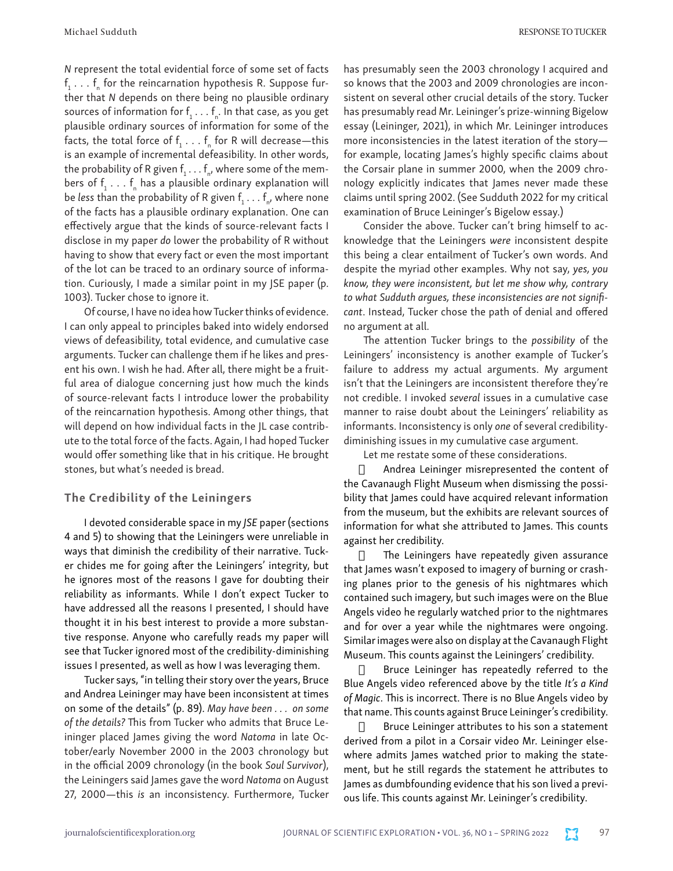*N* represent the total evidential force of some set of facts  $\mathsf{f}_1 \ldots \mathsf{f}_\mathsf{n}$  for the reincarnation hypothesis R. Suppose further that *N* depends on there being no plausible ordinary sources of information for  $f_1 \ldots f_n$ . In that case, as you get plausible ordinary sources of information for some of the facts, the total force of  $f_1 \ldots f_n$  for R will decrease—this is an example of incremental defeasibility. In other words, the probability of R given  $\mathsf{f}_1 \ldots \mathsf{f}_{\mathsf{n}'}$  where some of the members of  $f_1 \ldots f_n$  has a plausible ordinary explanation will be *less* than the probability of R given  $f_{1} \ldots f_{n'}$  where none of the facts has a plausible ordinary explanation. One can effectively argue that the kinds of source-relevant facts I disclose in my paper *do* lower the probability of R without having to show that every fact or even the most important of the lot can be traced to an ordinary source of information. Curiously, I made a similar point in my JSE paper (p. 1003). Tucker chose to ignore it.

Of course, I have no idea how Tucker thinks of evidence. I can only appeal to principles baked into widely endorsed views of defeasibility, total evidence, and cumulative case arguments. Tucker can challenge them if he likes and present his own. I wish he had. After all, there might be a fruitful area of dialogue concerning just how much the kinds of source-relevant facts I introduce lower the probability of the reincarnation hypothesis. Among other things, that will depend on how individual facts in the JL case contribute to the total force of the facts. Again, I had hoped Tucker would offer something like that in his critique. He brought stones, but what's needed is bread.

#### The Credibility of the Leiningers

I devoted considerable space in my *JSE* paper (sections 4 and 5) to showing that the Leiningers were unreliable in ways that diminish the credibility of their narrative. Tucker chides me for going after the Leiningers' integrity, but he ignores most of the reasons I gave for doubting their reliability as informants. While I don't expect Tucker to have addressed all the reasons I presented, I should have thought it in his best interest to provide a more substantive response. Anyone who carefully reads my paper will see that Tucker ignored most of the credibility-diminishing issues I presented, as well as how I was leveraging them.

Tucker says, "in telling their story over the years, Bruce and Andrea Leininger may have been inconsistent at times on some of the details" (p. 89). *May have been . . . on some of the details?* This from Tucker who admits that Bruce Leininger placed James giving the word *Natoma* in late October/early November 2000 in the 2003 chronology but in the official 2009 chronology (in the book *Soul Survivor*), the Leiningers said James gave the word *Natoma* on August 27, 2000—this *is* an inconsistency. Furthermore, Tucker has presumably seen the 2003 chronology I acquired and so knows that the 2003 and 2009 chronologies are inconsistent on several other crucial details of the story. Tucker has presumably read Mr. Leininger's prize-winning Bigelow essay (Leininger, 2021), in which Mr. Leininger introduces more inconsistencies in the latest iteration of the story for example, locating James's highly specific claims about the Corsair plane in summer 2000, when the 2009 chronology explicitly indicates that James never made these claims until spring 2002. (See Sudduth 2022 for my critical examination of Bruce Leininger's Bigelow essay.)

Consider the above. Tucker can't bring himself to acknowledge that the Leiningers *were* inconsistent despite this being a clear entailment of Tucker's own words. And despite the myriad other examples. Why not say, *yes, you know, they were inconsistent, but let me show why, contrary to what Sudduth argues, these inconsistencies are not significant*. Instead, Tucker chose the path of denial and offered no argument at all.

The attention Tucker brings to the *possibility* of the Leiningers' inconsistency is another example of Tucker's failure to address my actual arguments. My argument isn't that the Leiningers are inconsistent therefore they're not credible. I invoked *several* issues in a cumulative case manner to raise doubt about the Leiningers' reliability as informants. Inconsistency is only *one* of several credibilitydiminishing issues in my cumulative case argument.

Let me restate some of these considerations.

 $\Box$  Andrea Leininger misrepresented the content of the Cavanaugh Flight Museum when dismissing the possibility that James could have acquired relevant information from the museum, but the exhibits are relevant sources of information for what she attributed to James. This counts against her credibility.

 $\Box$  The Leiningers have repeatedly given assurance that James wasn't exposed to imagery of burning or crashing planes prior to the genesis of his nightmares which contained such imagery, but such images were on the Blue Angels video he regularly watched prior to the nightmares and for over a year while the nightmares were ongoing. Similar images were also on display at the Cavanaugh Flight Museum. This counts against the Leiningers' credibility.

 $\Box$  Bruce Leininger has repeatedly referred to the Blue Angels video referenced above by the title *It's a Kind of Magic*. This is incorrect. There is no Blue Angels video by that name. This counts against Bruce Leininger's credibility.

 $\Box$  Bruce Leininger attributes to his son a statement derived from a pilot in a Corsair video Mr. Leininger elsewhere admits James watched prior to making the statement, but he still regards the statement he attributes to James as dumbfounding evidence that his son lived a previous life. This counts against Mr. Leininger's credibility.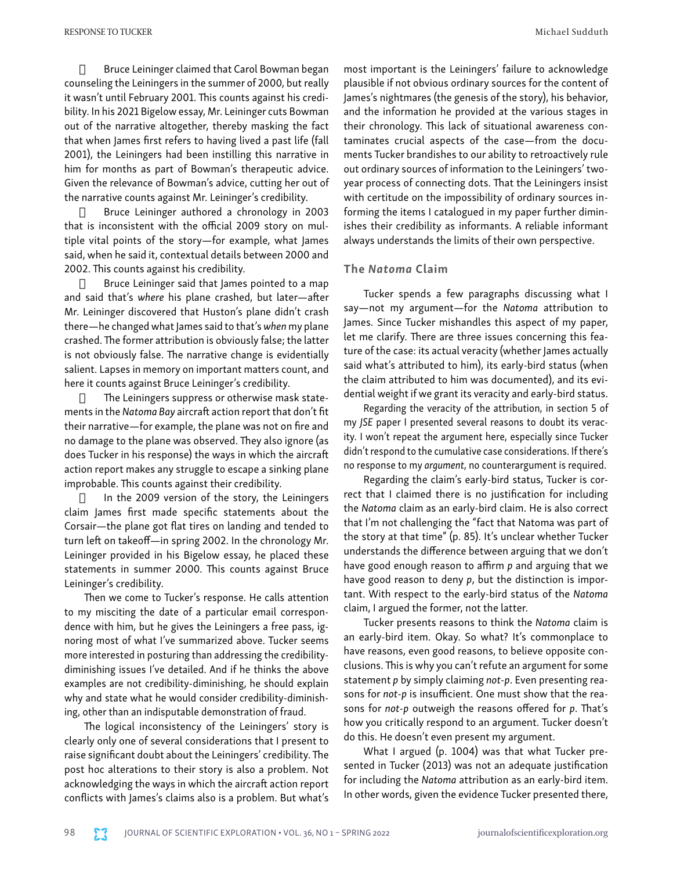$\Box$  Bruce Leininger claimed that Carol Bowman began counseling the Leiningers in the summer of 2000, but really it wasn't until February 2001. This counts against his credibility. In his 2021 Bigelow essay, Mr. Leininger cuts Bowman out of the narrative altogether, thereby masking the fact that when James first refers to having lived a past life (fall 2001), the Leiningers had been instilling this narrative in him for months as part of Bowman's therapeutic advice. Given the relevance of Bowman's advice, cutting her out of the narrative counts against Mr. Leininger's credibility.

**Bruce Leininger authored a chronology in 2003** that is inconsistent with the official 2009 story on multiple vital points of the story—for example, what James said, when he said it, contextual details between 2000 and 2002. This counts against his credibility.

 $\Box$  Bruce Leininger said that James pointed to a map and said that's *where* his plane crashed, but later—after Mr. Leininger discovered that Huston's plane didn't crash there—he changed what James said to that's *when* my plane crashed. The former attribution is obviously false; the latter is not obviously false. The narrative change is evidentially salient. Lapses in memory on important matters count, and here it counts against Bruce Leininger's credibility.

 $\Box$  The Leiningers suppress or otherwise mask statements in the *Natoma Bay* aircraft action report that don't fit their narrative—for example, the plane was not on fire and no damage to the plane was observed. They also ignore (as does Tucker in his response) the ways in which the aircraft action report makes any struggle to escape a sinking plane improbable. This counts against their credibility.

 $\Box$  In the 2009 version of the story, the Leiningers claim James first made specific statements about the Corsair—the plane got flat tires on landing and tended to turn left on takeoff—in spring 2002. In the chronology Mr. Leininger provided in his Bigelow essay, he placed these statements in summer 2000. This counts against Bruce Leininger's credibility.

Then we come to Tucker's response. He calls attention to my misciting the date of a particular email correspondence with him, but he gives the Leiningers a free pass, ignoring most of what I've summarized above. Tucker seems more interested in posturing than addressing the credibilitydiminishing issues I've detailed. And if he thinks the above examples are not credibility-diminishing, he should explain why and state what he would consider credibility-diminishing, other than an indisputable demonstration of fraud.

The logical inconsistency of the Leiningers' story is clearly only one of several considerations that I present to raise significant doubt about the Leiningers' credibility. The post hoc alterations to their story is also a problem. Not acknowledging the ways in which the aircraft action report conflicts with James's claims also is a problem. But what's

most important is the Leiningers' failure to acknowledge plausible if not obvious ordinary sources for the content of James's nightmares (the genesis of the story), his behavior, and the information he provided at the various stages in their chronology. This lack of situational awareness contaminates crucial aspects of the case—from the documents Tucker brandishes to our ability to retroactively rule out ordinary sources of information to the Leiningers' twoyear process of connecting dots. That the Leiningers insist with certitude on the impossibility of ordinary sources informing the items I catalogued in my paper further diminishes their credibility as informants. A reliable informant always understands the limits of their own perspective.

#### The *Natoma* Claim

Tucker spends a few paragraphs discussing what I say—not my argument—for the *Natoma* attribution to James. Since Tucker mishandles this aspect of my paper, let me clarify. There are three issues concerning this feature of the case: its actual veracity (whether James actually said what's attributed to him), its early-bird status (when the claim attributed to him was documented), and its evidential weight if we grant its veracity and early-bird status.

Regarding the veracity of the attribution, in section 5 of my *JSE* paper I presented several reasons to doubt its veracity. I won't repeat the argument here, especially since Tucker didn't respond to the cumulative case considerations. If there's no response to my *argument*, no counterargument is required.

Regarding the claim's early-bird status, Tucker is correct that I claimed there is no justification for including the *Natoma* claim as an early-bird claim. He is also correct that I'm not challenging the "fact that Natoma was part of the story at that time" (p. 85). It's unclear whether Tucker understands the difference between arguing that we don't have good enough reason to affirm *p* and arguing that we have good reason to deny *p*, but the distinction is important. With respect to the early-bird status of the *Natoma* claim, I argued the former, not the latter.

Tucker presents reasons to think the *Natoma* claim is an early-bird item. Okay. So what? It's commonplace to have reasons, even good reasons, to believe opposite conclusions. This is why you can't refute an argument for some statement *p* by simply claiming *not-p*. Even presenting reasons for *not-p* is insufficient. One must show that the reasons for *not-p* outweigh the reasons offered for *p*. That's how you critically respond to an argument. Tucker doesn't do this. He doesn't even present my argument.

What I argued (p. 1004) was that what Tucker presented in Tucker (2013) was not an adequate justification for including the *Natoma* attribution as an early-bird item. In other words, given the evidence Tucker presented there,